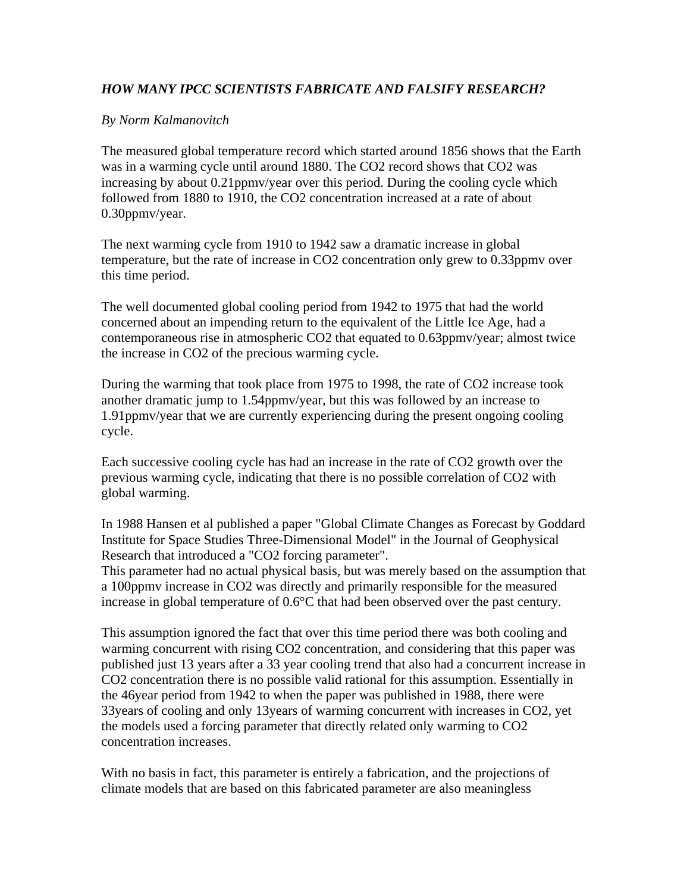## *HOW MANY IPCC SCIENTISTS FABRICATE AND FALSIFY RESEARCH?*

## *By Norm Kalmanovitch*

The measured global temperature record which started around 1856 shows that the Earth was in a warming cycle until around 1880. The CO2 record shows that CO2 was increasing by about 0.21ppmv/year over this period. During the cooling cycle which followed from 1880 to 1910, the CO2 concentration increased at a rate of about 0.30ppmv/year.

The next warming cycle from 1910 to 1942 saw a dramatic increase in global temperature, but the rate of increase in CO2 concentration only grew to 0.33ppmv over this time period.

The well documented global cooling period from 1942 to 1975 that had the world concerned about an impending return to the equivalent of the Little Ice Age, had a contemporaneous rise in atmospheric CO2 that equated to 0.63ppmv/year; almost twice the increase in CO2 of the precious warming cycle.

During the warming that took place from 1975 to 1998, the rate of CO2 increase took another dramatic jump to 1.54ppmv/year, but this was followed by an increase to 1.91ppmv/year that we are currently experiencing during the present ongoing cooling cycle.

Each successive cooling cycle has had an increase in the rate of CO2 growth over the previous warming cycle, indicating that there is no possible correlation of CO2 with global warming.

In 1988 Hansen et al published a paper "Global Climate Changes as Forecast by Goddard Institute for Space Studies Three-Dimensional Model" in the Journal of Geophysical Research that introduced a "CO2 forcing parameter".

This parameter had no actual physical basis, but was merely based on the assumption that a 100ppmv increase in CO2 was directly and primarily responsible for the measured increase in global temperature of 0.6°C that had been observed over the past century.

This assumption ignored the fact that over this time period there was both cooling and warming concurrent with rising CO2 concentration, and considering that this paper was published just 13 years after a 33 year cooling trend that also had a concurrent increase in CO2 concentration there is no possible valid rational for this assumption. Essentially in the 46year period from 1942 to when the paper was published in 1988, there were 33years of cooling and only 13years of warming concurrent with increases in CO2, yet the models used a forcing parameter that directly related only warming to CO2 concentration increases.

With no basis in fact, this parameter is entirely a fabrication, and the projections of climate models that are based on this fabricated parameter are also meaningless